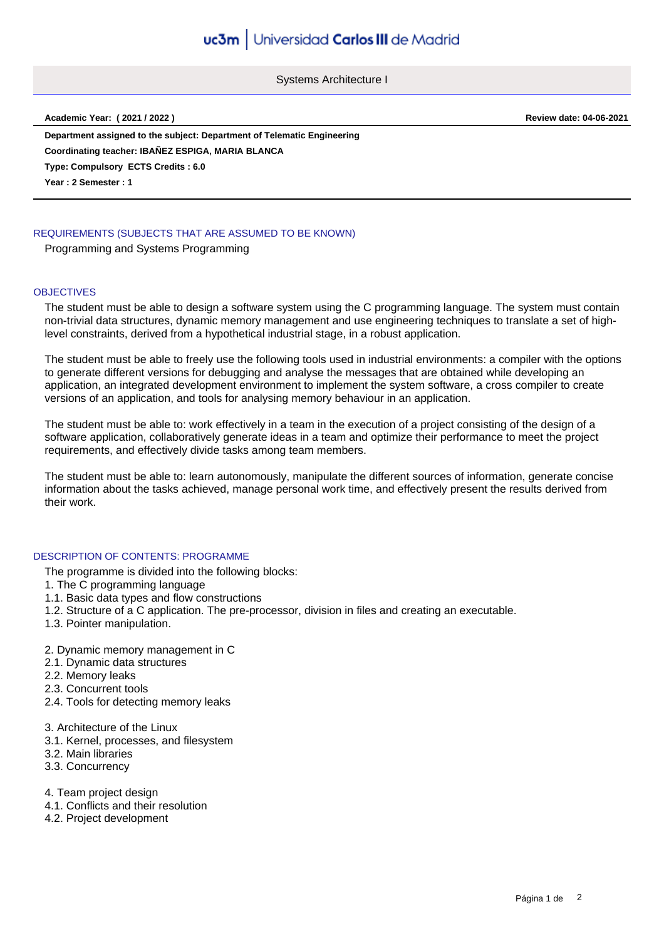Systems Architecture I

**Academic Year: ( 2021 / 2022 ) Review date: 04-06-2021**

**Department assigned to the subject: Department of Telematic Engineering Type: Compulsory ECTS Credits : 6.0 Year : 2 Semester : 1 Coordinating teacher: IBAÑEZ ESPIGA, MARIA BLANCA**

# REQUIREMENTS (SUBJECTS THAT ARE ASSUMED TO BE KNOWN)

Programming and Systems Programming

### **OBJECTIVES**

The student must be able to design a software system using the C programming language. The system must contain non-trivial data structures, dynamic memory management and use engineering techniques to translate a set of highlevel constraints, derived from a hypothetical industrial stage, in a robust application.

The student must be able to freely use the following tools used in industrial environments: a compiler with the options to generate different versions for debugging and analyse the messages that are obtained while developing an application, an integrated development environment to implement the system software, a cross compiler to create versions of an application, and tools for analysing memory behaviour in an application.

The student must be able to: work effectively in a team in the execution of a project consisting of the design of a software application, collaboratively generate ideas in a team and optimize their performance to meet the project requirements, and effectively divide tasks among team members.

The student must be able to: learn autonomously, manipulate the different sources of information, generate concise information about the tasks achieved, manage personal work time, and effectively present the results derived from their work.

# DESCRIPTION OF CONTENTS: PROGRAMME

The programme is divided into the following blocks:

- 1. The C programming language
- 1.1. Basic data types and flow constructions
- 1.2. Structure of a C application. The pre-processor, division in files and creating an executable.
- 1.3. Pointer manipulation.
- 2. Dynamic memory management in C
- 2.1. Dynamic data structures
- 2.2. Memory leaks
- 2.3. Concurrent tools
- 2.4. Tools for detecting memory leaks
- 3. Architecture of the Linux
- 3.1. Kernel, processes, and filesystem
- 3.2. Main libraries
- 3.3. Concurrency
- 4. Team project design
- 4.1. Conflicts and their resolution
- 4.2. Project development